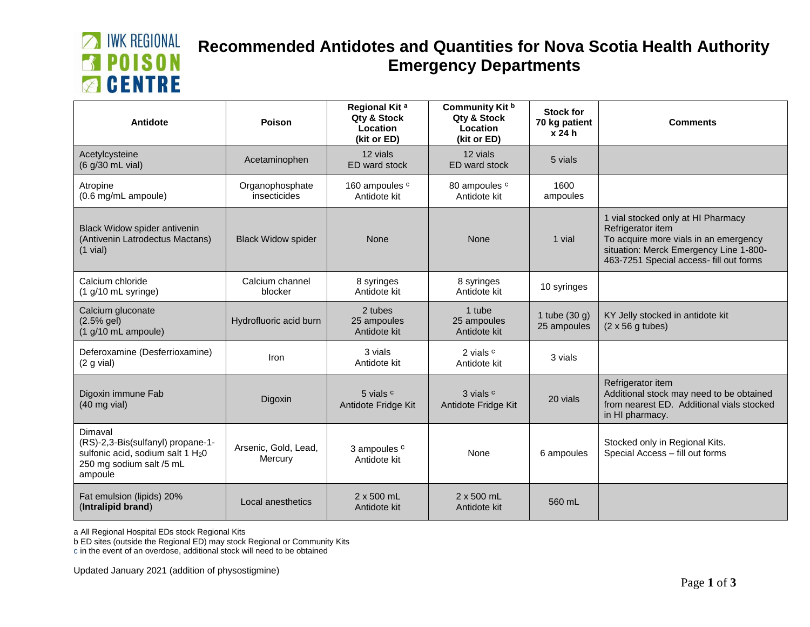# **MINK REGIONAL EN POISON B** CENTRE

### **Recommended Antidotes and Quantities for Nova Scotia Health Authority Emergency Departments**

| Antidote                                                                                                                             | Poison                          | Regional Kit <sup>a</sup><br>Qty & Stock<br>Location<br>(kit or ED) | Community Kit b<br>Qty & Stock<br>Location<br>(kit or ED) | <b>Stock for</b><br>70 kg patient<br>x 24 h | <b>Comments</b>                                                                                                                                                                       |
|--------------------------------------------------------------------------------------------------------------------------------------|---------------------------------|---------------------------------------------------------------------|-----------------------------------------------------------|---------------------------------------------|---------------------------------------------------------------------------------------------------------------------------------------------------------------------------------------|
| Acetylcysteine<br>(6 g/30 mL vial)                                                                                                   | Acetaminophen                   | 12 vials<br>ED ward stock                                           | 12 vials<br>ED ward stock                                 | 5 vials                                     |                                                                                                                                                                                       |
| Atropine<br>(0.6 mg/mL ampoule)                                                                                                      | Organophosphate<br>insecticides | 160 ampoules c<br>Antidote kit                                      | 80 ampoules c<br>Antidote kit                             | 1600<br>ampoules                            |                                                                                                                                                                                       |
| Black Widow spider antivenin<br>(Antivenin Latrodectus Mactans)<br>$(1$ vial)                                                        | <b>Black Widow spider</b>       | None                                                                | None                                                      | 1 vial                                      | 1 vial stocked only at HI Pharmacy<br>Refrigerator item<br>To acquire more vials in an emergency<br>situation: Merck Emergency Line 1-800-<br>463-7251 Special access- fill out forms |
| Calcium chloride<br>$(1$ g/10 mL syringe)                                                                                            | Calcium channel<br>blocker      | 8 syringes<br>Antidote kit                                          | 8 syringes<br>Antidote kit                                | 10 syringes                                 |                                                                                                                                                                                       |
| Calcium gluconate<br>$(2.5%$ gel)<br>$(1$ g/10 mL ampoule)                                                                           | Hydrofluoric acid burn          | 2 tubes<br>25 ampoules<br>Antidote kit                              | 1 tube<br>25 ampoules<br>Antidote kit                     | 1 tube $(30 g)$<br>25 ampoules              | KY Jelly stocked in antidote kit<br>$(2 \times 56$ g tubes)                                                                                                                           |
| Deferoxamine (Desferrioxamine)<br>(2 g via)                                                                                          | Iron                            | 3 vials<br>Antidote kit                                             | 2 vials c<br>Antidote kit                                 | 3 vials                                     |                                                                                                                                                                                       |
| Digoxin immune Fab<br>$(40 \text{ mg}$ vial)                                                                                         | Digoxin                         | 5 vials c<br>Antidote Fridge Kit                                    | 3 vials c<br>Antidote Fridge Kit                          | 20 vials                                    | Refrigerator item<br>Additional stock may need to be obtained<br>from nearest ED. Additional vials stocked<br>in HI pharmacy.                                                         |
| Dimaval<br>(RS)-2,3-Bis(sulfanyl) propane-1-<br>sulfonic acid, sodium salt 1 H <sub>2</sub> 0<br>250 mg sodium salt /5 mL<br>ampoule | Arsenic, Gold, Lead,<br>Mercury | 3 ampoules <sup>c</sup><br>Antidote kit                             | None                                                      | 6 ampoules                                  | Stocked only in Regional Kits.<br>Special Access - fill out forms                                                                                                                     |
| Fat emulsion (lipids) 20%<br>(Intralipid brand)                                                                                      | Local anesthetics               | 2 x 500 mL<br>Antidote kit                                          | 2 x 500 mL<br>Antidote kit                                | 560 mL                                      |                                                                                                                                                                                       |

a All Regional Hospital EDs stock Regional Kits

b ED sites (outside the Regional ED) may stock Regional or Community Kits

c in the event of an overdose, additional stock will need to be obtained

Updated January 2021 (addition of physostigmine)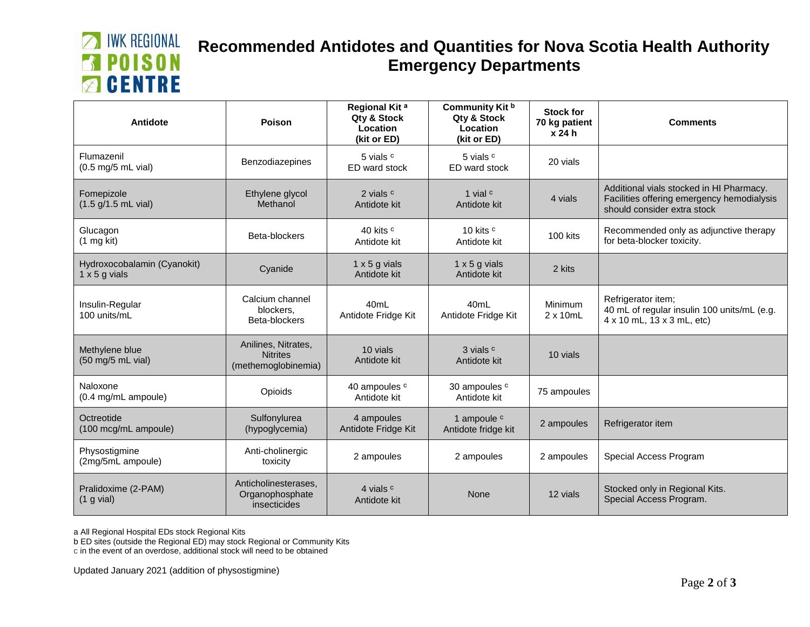# **MINK REGIONAL EN POISON B** CENTRE

### **Recommended Antidotes and Quantities for Nova Scotia Health Authority Emergency Departments**

| Antidote                                            | Poison                                                        | Regional Kit <sup>a</sup><br>Qty & Stock<br>Location<br>(kit or ED) | Community Kit b<br>Qty & Stock<br>Location<br>(kit or ED) | <b>Stock for</b><br>70 kg patient<br>x 24 h | <b>Comments</b>                                                                                                       |
|-----------------------------------------------------|---------------------------------------------------------------|---------------------------------------------------------------------|-----------------------------------------------------------|---------------------------------------------|-----------------------------------------------------------------------------------------------------------------------|
| Flumazenil<br>$(0.5 \text{ mg}/5 \text{ mL}$ vial)  | <b>Benzodiazepines</b>                                        | 5 vials c<br>ED ward stock                                          | 5 vials c<br>ED ward stock                                | 20 vials                                    |                                                                                                                       |
| Fomepizole<br>$(1.5 g/1.5 mL$ vial)                 | Ethylene glycol<br>Methanol                                   | 2 vials c<br>Antidote kit                                           | 1 vial $c$<br>Antidote kit                                | 4 vials                                     | Additional vials stocked in HI Pharmacy.<br>Facilities offering emergency hemodialysis<br>should consider extra stock |
| Glucagon<br>$(1 \text{ mg kit})$                    | Beta-blockers                                                 | 40 kits c<br>Antidote kit                                           | 10 kits <sup>c</sup><br>Antidote kit                      | 100 kits                                    | Recommended only as adjunctive therapy<br>for beta-blocker toxicity.                                                  |
| Hydroxocobalamin (Cyanokit)<br>$1 \times 5$ g vials | Cyanide                                                       | $1 \times 5$ g vials<br>Antidote kit                                | $1 \times 5$ g vials<br>Antidote kit                      | 2 kits                                      |                                                                                                                       |
| Insulin-Regular<br>100 units/mL                     | Calcium channel<br>blockers,<br>Beta-blockers                 | 40 <sub>mL</sub><br>Antidote Fridge Kit                             | 40 <sub>mL</sub><br>Antidote Fridge Kit                   | Minimum<br>$2 \times 10$ mL                 | Refrigerator item;<br>40 mL of regular insulin 100 units/mL (e.g.<br>4 x 10 mL, 13 x 3 mL, etc)                       |
| Methylene blue<br>(50 mg/5 mL vial)                 | Anilines, Nitrates,<br><b>Nitrites</b><br>(methemoglobinemia) | 10 vials<br>Antidote kit                                            | 3 vials c<br>Antidote kit                                 | 10 vials                                    |                                                                                                                       |
| Naloxone<br>(0.4 mg/mL ampoule)                     | Opioids                                                       | 40 ampoules c<br>Antidote kit                                       | 30 ampoules c<br>Antidote kit                             | 75 ampoules                                 |                                                                                                                       |
| Octreotide<br>(100 mcg/mL ampoule)                  | Sulfonylurea<br>(hypoglycemia)                                | 4 ampoules<br>Antidote Fridge Kit                                   | 1 ampoule c<br>Antidote fridge kit                        | 2 ampoules                                  | Refrigerator item                                                                                                     |
| Physostigmine<br>(2mg/5mL ampoule)                  | Anti-cholinergic<br>toxicity                                  | 2 ampoules                                                          | 2 ampoules                                                | 2 ampoules                                  | Special Access Program                                                                                                |
| Pralidoxime (2-PAM)<br>$(1$ g vial)                 | Anticholinesterases,<br>Organophosphate<br>insecticides       | 4 vials c<br>Antidote kit                                           | None                                                      | 12 vials                                    | Stocked only in Regional Kits.<br>Special Access Program.                                                             |

a All Regional Hospital EDs stock Regional Kits

b ED sites (outside the Regional ED) may stock Regional or Community Kits

c in the event of an overdose, additional stock will need to be obtained

Updated January 2021 (addition of physostigmine)